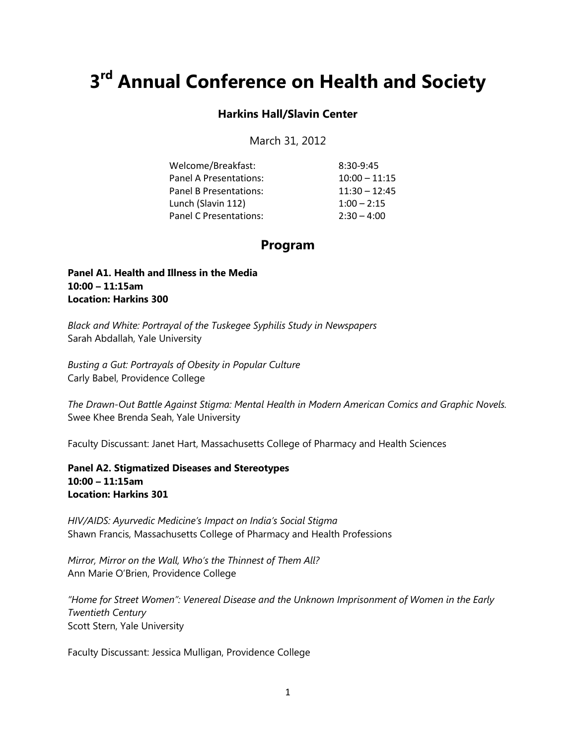# **3rd Annual Conference on Health and Society**

#### **Harkins Hall/Slavin Center**

March 31, 2012

| Welcome/Breakfast:     | $8:30-9:45$     |
|------------------------|-----------------|
| Panel A Presentations: | $10:00 - 11:15$ |
| Panel B Presentations: | $11:30 - 12:45$ |
| Lunch (Slavin 112)     | $1:00 - 2:15$   |
| Panel C Presentations: | $2:30 - 4:00$   |

## **Program**

#### **Panel A1. Health and Illness in the Media 10:00 – 11:15am Location: Harkins 300**

*Black and White: Portrayal of the Tuskegee Syphilis Study in Newspapers* Sarah Abdallah, Yale University

*Busting a Gut: Portrayals of Obesity in Popular Culture*  Carly Babel, Providence College

*The Drawn-Out Battle Against Stigma: Mental Health in Modern American Comics and Graphic Novels.* Swee Khee Brenda Seah, Yale University

Faculty Discussant: Janet Hart, Massachusetts College of Pharmacy and Health Sciences

**Panel A2. Stigmatized Diseases and Stereotypes 10:00 – 11:15am Location: Harkins 301**

*HIV/AIDS: Ayurvedic Medicine's Impact on India's Social Stigma* Shawn Francis, Massachusetts College of Pharmacy and Health Professions

*Mirror, Mirror on the Wall, Who's the Thinnest of Them All?* Ann Marie O'Brien, Providence College

*"Home for Street Women": Venereal Disease and the Unknown Imprisonment of Women in the Early Twentieth Century* Scott Stern, Yale University

Faculty Discussant: Jessica Mulligan, Providence College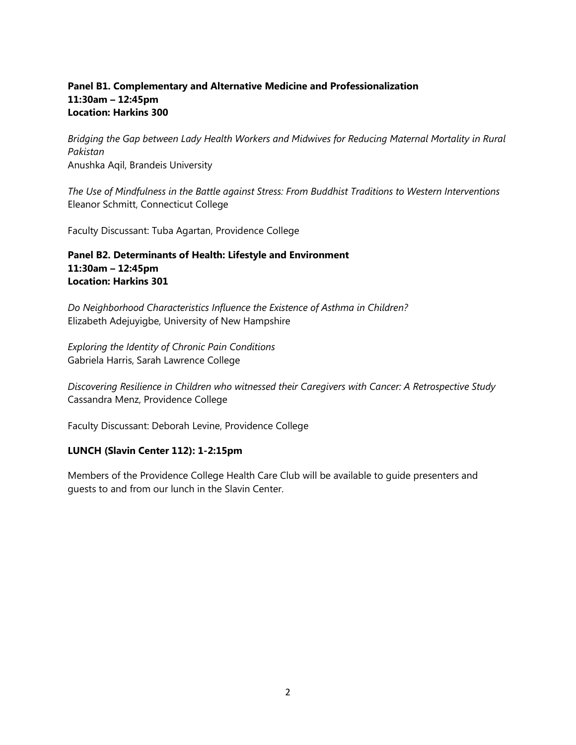### **Panel B1. Complementary and Alternative Medicine and Professionalization 11:30am – 12:45pm Location: Harkins 300**

*Bridging the Gap between Lady Health Workers and Midwives for Reducing Maternal Mortality in Rural Pakistan* Anushka Aqil, Brandeis University

*The Use of Mindfulness in the Battle against Stress: From Buddhist Traditions to Western Interventions* Eleanor Schmitt, Connecticut College

Faculty Discussant: Tuba Agartan, Providence College

#### **Panel B2. Determinants of Health: Lifestyle and Environment 11:30am – 12:45pm Location: Harkins 301**

*Do Neighborhood Characteristics Influence the Existence of Asthma in Children?* Elizabeth Adejuyigbe, University of New Hampshire

*Exploring the Identity of Chronic Pain Conditions* Gabriela Harris, Sarah Lawrence College

*Discovering Resilience in Children who witnessed their Caregivers with Cancer: A Retrospective Study* Cassandra Menz, Providence College

Faculty Discussant: Deborah Levine, Providence College

## **LUNCH (Slavin Center 112): 1-2:15pm**

Members of the Providence College Health Care Club will be available to guide presenters and guests to and from our lunch in the Slavin Center.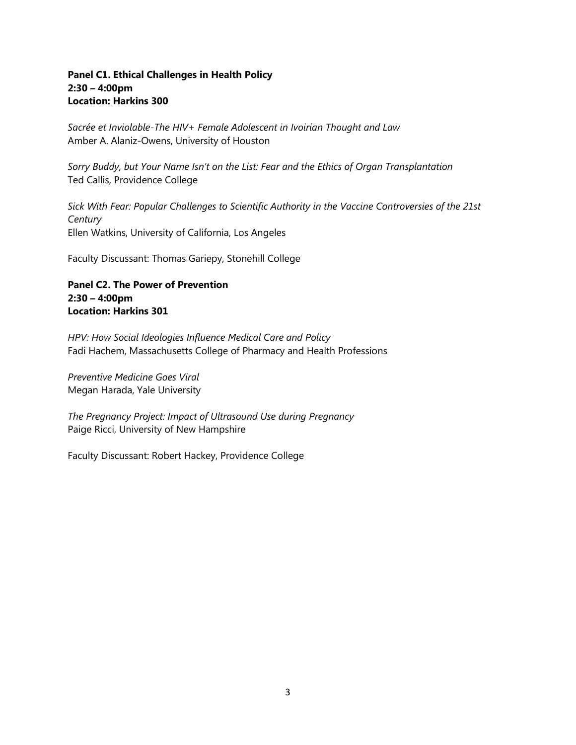### **Panel C1. Ethical Challenges in Health Policy 2:30 – 4:00pm Location: Harkins 300**

*Sacrée et Inviolable-The HIV+ Female Adolescent in Ivoirian Thought and Law* Amber A. Alaniz-Owens, University of Houston

*Sorry Buddy, but Your Name Isn't on the List: Fear and the Ethics of Organ Transplantation* Ted Callis, Providence College

*Sick With Fear: Popular Challenges to Scientific Authority in the Vaccine Controversies of the 21st Century* Ellen Watkins, University of California, Los Angeles

Faculty Discussant: Thomas Gariepy, Stonehill College

## **Panel C2. The Power of Prevention 2:30 – 4:00pm Location: Harkins 301**

*HPV: How Social Ideologies Influence Medical Care and Policy* Fadi Hachem, Massachusetts College of Pharmacy and Health Professions

*Preventive Medicine Goes Viral* Megan Harada, Yale University

*The Pregnancy Project: Impact of Ultrasound Use during Pregnancy*  Paige Ricci, University of New Hampshire

Faculty Discussant: Robert Hackey, Providence College